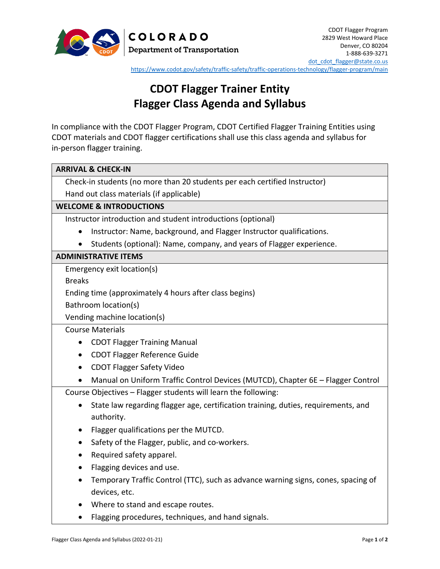

<https://www.codot.gov/safety/traffic-safety/traffic-operations-technology/flagger-program/main>

# **CDOT Flagger Trainer Entity Flagger Class Agenda and Syllabus**

In compliance with the CDOT Flagger Program, CDOT Certified Flagger Training Entities using CDOT materials and CDOT flagger certifications shall use this class agenda and syllabus for in-person flagger training.

| <b>ARRIVAL &amp; CHECK-IN</b>                                                                   |
|-------------------------------------------------------------------------------------------------|
| Check-in students (no more than 20 students per each certified Instructor)                      |
| Hand out class materials (if applicable)                                                        |
| <b>WELCOME &amp; INTRODUCTIONS</b>                                                              |
| Instructor introduction and student introductions (optional)                                    |
| Instructor: Name, background, and Flagger Instructor qualifications.<br>$\bullet$               |
| Students (optional): Name, company, and years of Flagger experience.<br>$\bullet$               |
| <b>ADMINISTRATIVE ITEMS</b>                                                                     |
| Emergency exit location(s)                                                                      |
| <b>Breaks</b>                                                                                   |
| Ending time (approximately 4 hours after class begins)                                          |
| Bathroom location(s)                                                                            |
| Vending machine location(s)                                                                     |
| <b>Course Materials</b>                                                                         |
| <b>CDOT Flagger Training Manual</b><br>$\bullet$                                                |
| <b>CDOT Flagger Reference Guide</b><br>$\bullet$                                                |
| <b>CDOT Flagger Safety Video</b><br>$\bullet$                                                   |
| Manual on Uniform Traffic Control Devices (MUTCD), Chapter 6E - Flagger Control                 |
| Course Objectives - Flagger students will learn the following:                                  |
| State law regarding flagger age, certification training, duties, requirements, and<br>$\bullet$ |
| authority.                                                                                      |
| Flagger qualifications per the MUTCD.<br>$\bullet$                                              |
| Safety of the Flagger, public, and co-workers.<br>٠                                             |
| Required safety apparel.                                                                        |
| Flagging devices and use.<br>٠                                                                  |
| Temporary Traffic Control (TTC), such as advance warning signs, cones, spacing of<br>$\bullet$  |
| devices, etc.                                                                                   |
| Where to stand and escape routes.                                                               |
| Flagging procedures, techniques, and hand signals.                                              |